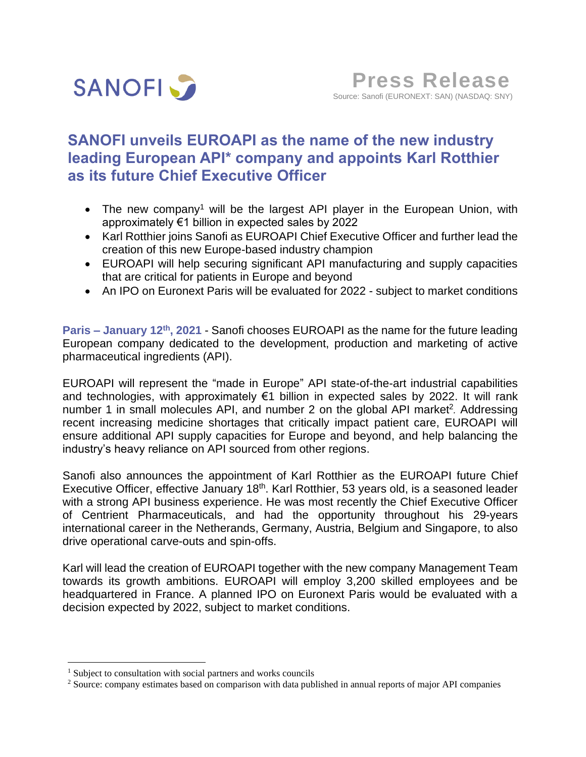

# **SANOFI unveils EUROAPI as the name of the new industry leading European API\* company and appoints Karl Rotthier as its future Chief Executive Officer**

- The new company<sup>1</sup> will be the largest API player in the European Union, with approximately €1 billion in expected sales by 2022
- Karl Rotthier joins Sanofi as EUROAPI Chief Executive Officer and further lead the creation of this new Europe-based industry champion
- EUROAPI will help securing significant API manufacturing and supply capacities that are critical for patients in Europe and beyond
- An IPO on Euronext Paris will be evaluated for 2022 subject to market conditions

Paris – January 12<sup>th</sup>, 2021 - Sanofi chooses EUROAPI as the name for the future leading European company dedicated to the development, production and marketing of active pharmaceutical ingredients (API).

EUROAPI will represent the "made in Europe" API state-of-the-art industrial capabilities and technologies, with approximately €1 billion in expected sales by 2022. It will rank number 1 in small molecules API, and number 2 on the global API market<sup>2</sup>. Addressing recent increasing medicine shortages that critically impact patient care, EUROAPI will ensure additional API supply capacities for Europe and beyond, and help balancing the industry's heavy reliance on API sourced from other regions.

Sanofi also announces the appointment of Karl Rotthier as the EUROAPI future Chief Executive Officer, effective January 18<sup>th</sup>. Karl Rotthier, 53 years old, is a seasoned leader with a strong API business experience. He was most recently the Chief Executive Officer of Centrient Pharmaceuticals, and had the opportunity throughout his 29-years international career in the Netherands, Germany, Austria, Belgium and Singapore, to also drive operational carve-outs and spin-offs.

Karl will lead the creation of EUROAPI together with the new company Management Team towards its growth ambitions. EUROAPI will employ 3,200 skilled employees and be headquartered in France. A planned IPO on Euronext Paris would be evaluated with a decision expected by 2022, subject to market conditions.

<sup>&</sup>lt;sup>1</sup> Subject to consultation with social partners and works councils

<sup>&</sup>lt;sup>2</sup> Source: company estimates based on comparison with data published in annual reports of major API companies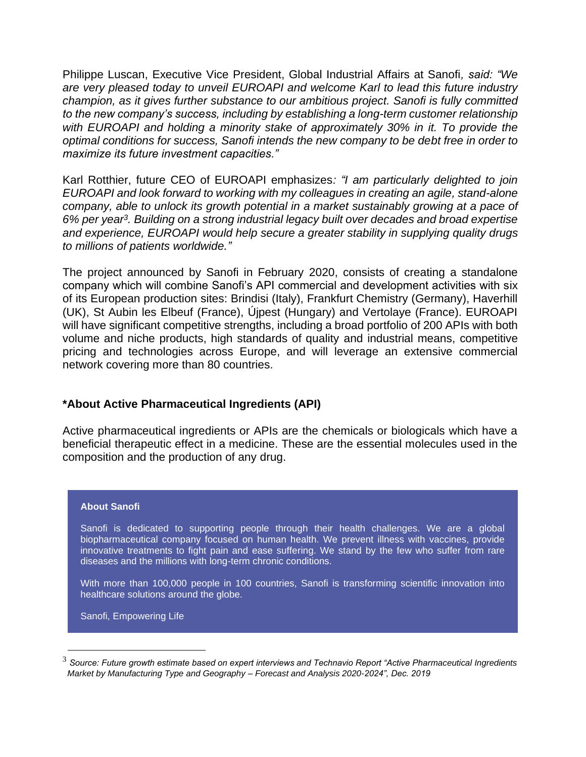Philippe Luscan, Executive Vice President, Global Industrial Affairs at Sanofi*, said: "We are very pleased today to unveil EUROAPI and welcome Karl to lead this future industry champion, as it gives further substance to our ambitious project. Sanofi is fully committed to the new company's success, including by establishing a long-term customer relationship with EUROAPI and holding a minority stake of approximately 30% in it. To provide the optimal conditions for success, Sanofi intends the new company to be debt free in order to maximize its future investment capacities."*

Karl Rotthier, future CEO of EUROAPI emphasizes*: "I am particularly delighted to join EUROAPI and look forward to working with my colleagues in creating an agile, stand-alone company, able to unlock its growth potential in a market sustainably growing at a pace of 6% per year<sup>3</sup> . Building on a strong industrial legacy built over decades and broad expertise and experience, EUROAPI would help secure a greater stability in supplying quality drugs to millions of patients worldwide."*

The project announced by Sanofi in February 2020, consists of creating a standalone company which will combine Sanofi's API commercial and development activities with six of its European production sites: Brindisi (Italy), Frankfurt Chemistry (Germany), Haverhill (UK), St Aubin les Elbeuf (France), Újpest (Hungary) and Vertolaye (France). EUROAPI will have significant competitive strengths, including a broad portfolio of 200 APIs with both volume and niche products, high standards of quality and industrial means, competitive pricing and technologies across Europe, and will leverage an extensive commercial network covering more than 80 countries.

## **\*About Active Pharmaceutical Ingredients (API)**

Active pharmaceutical ingredients or APIs are the chemicals or biologicals which have a beneficial therapeutic effect in a medicine. These are the essential molecules used in the composition and the production of any drug.

## **About Sanofi**

Sanofi is dedicated to supporting people through their health challenges. We are a global biopharmaceutical company focused on human health. We prevent illness with vaccines, provide innovative treatments to fight pain and ease suffering. We stand by the few who suffer from rare diseases and the millions with long-term chronic conditions.

With more than 100,000 people in 100 countries, Sanofi is transforming scientific innovation into healthcare solutions around the globe.

Sanofi, Empowering Life

<sup>3</sup> *Source: Future growth estimate based on expert interviews and Technavio Report "Active Pharmaceutical Ingredients Market by Manufacturing Type and Geography – Forecast and Analysis 2020-2024", Dec. 2019*